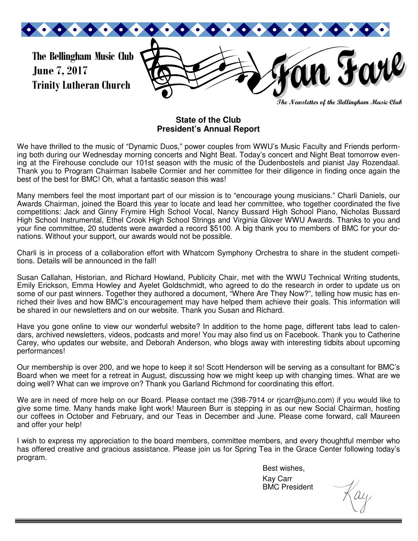

**The Newsletter of the Bellingham Music Club** 

#### **State of the Club President's Annual Report**

We have thrilled to the music of "Dynamic Duos," power couples from WWU's Music Faculty and Friends performing both during our Wednesday morning concerts and Night Beat. Today's concert and Night Beat tomorrow evening at the Firehouse conclude our 101st season with the music of the Dudenbostels and pianist Jay Rozendaal. Thank you to Program Chairman Isabelle Cormier and her committee for their diligence in finding once again the best of the best for BMC! Oh, what a fantastic season this was!

Many members feel the most important part of our mission is to "encourage young musicians." Charli Daniels, our Awards Chairman, joined the Board this year to locate and lead her committee, who together coordinated the five competitions: Jack and Ginny Frymire High School Vocal, Nancy Bussard High School Piano, Nicholas Bussard High School Instrumental, Ethel Crook High School Strings and Virginia Glover WWU Awards. Thanks to you and your fine committee, 20 students were awarded a record \$5100. A big thank you to members of BMC for your donations. Without your support, our awards would not be possible.

Charli is in process of a collaboration effort with Whatcom Symphony Orchestra to share in the student competitions. Details will be announced in the fall!

Susan Callahan, Historian, and Richard Howland, Publicity Chair, met with the WWU Technical Writing students, Emily Erickson, Emma Howley and Ayelet Goldschmidt, who agreed to do the research in order to update us on some of our past winners. Together they authored a document, "Where Are They Now?", telling how music has enriched their lives and how BMC's encouragement may have helped them achieve their goals. This information will be shared in our newsletters and on our website. Thank you Susan and Richard.

Have you gone online to view our wonderful website? In addition to the home page, different tabs lead to calendars, archived newsletters, videos, podcasts and more! You may also find us on Facebook. Thank you to Catherine Carey, who updates our website, and Deborah Anderson, who blogs away with interesting tidbits about upcoming performances!

Our membership is over 200, and we hope to keep it so! Scott Henderson will be serving as a consultant for BMC's Board when we meet for a retreat in August, discussing how we might keep up with changing times. What are we doing well? What can we improve on? Thank you Garland Richmond for coordinating this effort.

We are in need of more help on our Board. Please contact me (398-7914 or ricarr@juno.com) if you would like to give some time. Many hands make light work! Maureen Burr is stepping in as our new Social Chairman, hosting our coffees in October and February, and our Teas in December and June. Please come forward, call Maureen and offer your help!

I wish to express my appreciation to the board members, committee members, and every thoughtful member who has offered creative and gracious assistance. Please join us for Spring Tea in the Grace Center following today's program.

Best wishes,

 Kay Carr BMC President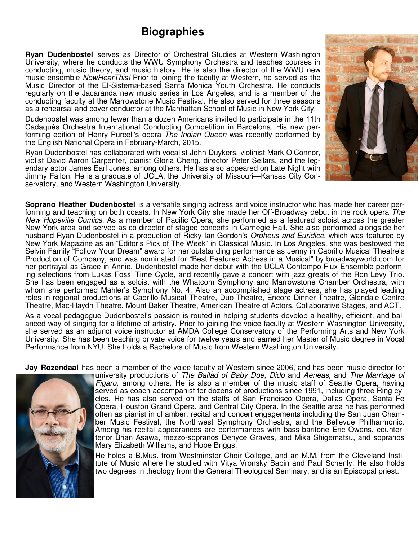## **Biographies**

**Ryan Dudenbostel** serves as Director of Orchestral Studies at Western Washington University, where he conducts the WWU Symphony Orchestra and teaches courses in conducting, music theory, and music history. He is also the director of the WWU new music ensemble *NowHearThis!* Prior to joining the faculty at Western, he served as the Music Director of the El-Sistema-based Santa Monica Youth Orchestra. He conducts regularly on the Jacaranda new music series in Los Angeles, and is a member of the conducting faculty at the Marrowstone Music Festival. He also served for three seasons as a rehearsal and cover conductor at the Manhattan School of Music in New York City.

Dudenbostel was among fewer than a dozen Americans invited to participate in the 11th Cadaqués Orchestra International Conducting Competition in Barcelona. His new performing edition of Henry Purcell's opera The Indian Queen was recently performed by the English National Opera in February-March, 2015.

Ryan Dudenbostel has collaborated with vocalist John Duykers, violinist Mark O'Connor, violist David Aaron Carpenter, pianist Gloria Cheng, director Peter Sellars, and the legendary actor James Earl Jones, among others. He has also appeared on Late Night with Jimmy Fallon. He is a graduate of UCLA, the University of Missouri—Kansas City Conservatory, and Western Washington University.



**Soprano Heather Dudenbostel** is a versatile singing actress and voice instructor who has made her career performing and teaching on both coasts. In New York City she made her Off-Broadway debut in the rock opera The New Hopeville Comics. As a member of Pacific Opera, she performed as a featured soloist across the greater New York area and served as co-director of staged concerts in Carnegie Hall. She also performed alongside her husband Ryan Dudenbostel in a production of Ricky Ian Gordon's *Orpheus and Euridice*, which was featured by New York Magazine as an "Editor's Pick of The Week" in Classical Music. In Los Angeles, she was bestowed the Selvin Family "Follow Your Dream" award for her outstanding performance as Jenny in Cabrillo Musical Theatre's Production of Company, and was nominated for "Best Featured Actress in a Musical" by broadwayworld.com for her portrayal as Grace in Annie. Dudenbostel made her debut with the UCLA Contempo Flux Ensemble performing selections from Lukas Foss' Time Cycle, and recently gave a concert with jazz greats of the Ron Levy Trio. She has been engaged as a soloist with the Whatcom Symphony and Marrowstone Chamber Orchestra, with whom she performed Mahler's Symphony No. 4. Also an accomplished stage actress, she has played leading roles in regional productions at Cabrillo Musical Theatre, Duo Theatre, Encore Dinner Theatre, Glendale Centre Theatre, Mac-Haydn Theatre, Mount Baker Theatre, American Theatre of Actors, Collaborative Stages, and ACT.

As a vocal pedagogue Dudenbostel's passion is routed in helping students develop a healthy, efficient, and balanced way of singing for a lifetime of artistry. Prior to joining the voice faculty at Western Washington University, she served as an adjunct voice instructor at AMDA College Conservatory of the Performing Arts and New York University. She has been teaching private voice for twelve years and earned her Master of Music degree in Vocal Performance from NYU. She holds a Bachelors of Music from Western Washington University.

**Jay Rozendaal** has been a member of the voice faculty at Western since 2006, and has been music director for



university productions of The Ballad of Baby Doe, Dido and Aeneas, and The Marriage of Figaro, among others. He is also a member of the music staff of Seattle Opera, having served as coach-accompanist for dozens of productions since 1991, including three Ring cycles. He has also served on the staffs of San Francisco Opera, Dallas Opera, Santa Fe Opera, Houston Grand Opera, and Central City Opera. In the Seattle area he has performed often as pianist in chamber, recital and concert engagements including the San Juan Chamber Music Festival, the Northwest Symphony Orchestra, and the Bellevue Philharmonic. Among his recital appearances are performances with bass-baritone Eric Owens, countertenor Brian Asawa, mezzo-sopranos Denyce Graves, and Mika Shigematsu, and sopranos Mary Elizabeth Williams, and Hope Briggs.

He holds a B.Mus. from Westminster Choir College, and an M.M. from the Cleveland Institute of Music where he studied with Vitya Vronsky Babin and Paul Schenly. He also holds two degrees in theology from the General Theological Seminary, and is an Episcopal priest.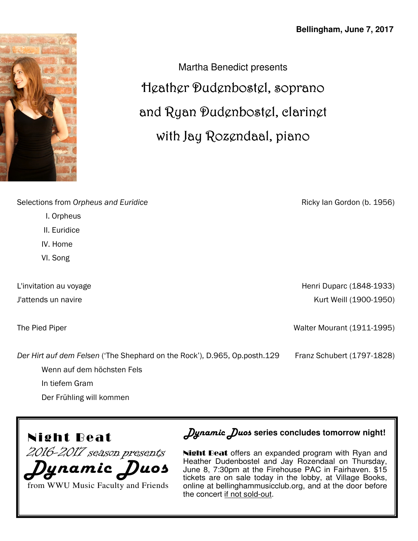

Martha Benedict presents Heather Dudenbostel, soprano and Ryan Dudenbostel, clarinet with Jay Rozendaal, piano

Selections from *Orpheus and Euridice* 

- I. Orpheus
- II. Euridice
- IV. Home
- VI. Song

L'invitation au voyage J'attends un navire

The Pied Piper

Ricky Ian Gordon (b. 1956)

Henri Duparc (1848-1933) Kurt Weill (1900-1950)

Walter Mourant (1911-1995)

Franz Schubert (1797-1828)

*Der Hirt auf dem Felsen* ('The Shephard on the Rock'), D.965, Op.posth.129

Wenn auf dem höchsten Fels

In tiefem Gram

Der Frühling will kommen



2016-2017 season presents

*Dynamic Duos* from WWU Music Faculty and Friends *Dynamic Duos* **series concludes tomorrow night!** 

Night Beat offers an expanded program with Ryan and Heather Dudenbostel and Jay Rozendaal on Thursday, June 8, 7:30pm at the Firehouse PAC in Fairhaven. \$15 tickets are on sale today in the lobby, at Village Books, online at bellinghammusicclub.org, and at the door before the concert if not sold-out.